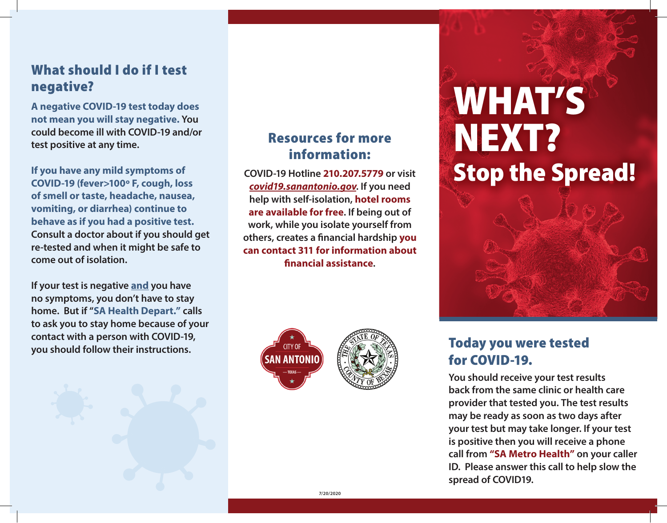## What should I do if I test negative?

**A negative COVID-19 test today does not mean you will stay negative. You could become ill with COVID-19 and/or test positive at any time.**

**If you have any mild symptoms of COVID-19 (fever>100º F, cough, loss of smell or taste, headache, nausea, vomiting, or diarrhea) continue to behave as if you had a positive test. Consult a doctor about if you should get re-tested and when it might be safe to come out of isolation.**

**If your test is negative and you have no symptoms, you don't have to stay home. But if "SA Health Depart." calls to ask you to stay home because of your contact with a person with COVID-19, you should follow their instructions.**



## Resources for more information:

**COVID-19 Hotline 210.207.5779 or visit** *covid19.sanantonio.gov***. If you need help with self-isolation, hotel rooms are available for free. If being out of work, while you isolate yourself from others, creates a financial hardship you can contact 311 for information about financial assistance.**





# WHAT'S NEXT? Stop the Spread!



## Today you were tested for COVID-19.

**You should receive your test results back from the same clinic or health care provider that tested you. The test results may be ready as soon as two days after your test but may take longer. If your test is positive then you will receive a phone call from "SA Metro Health" on your caller ID. Please answer this call to help slow the spread of COVID19.**